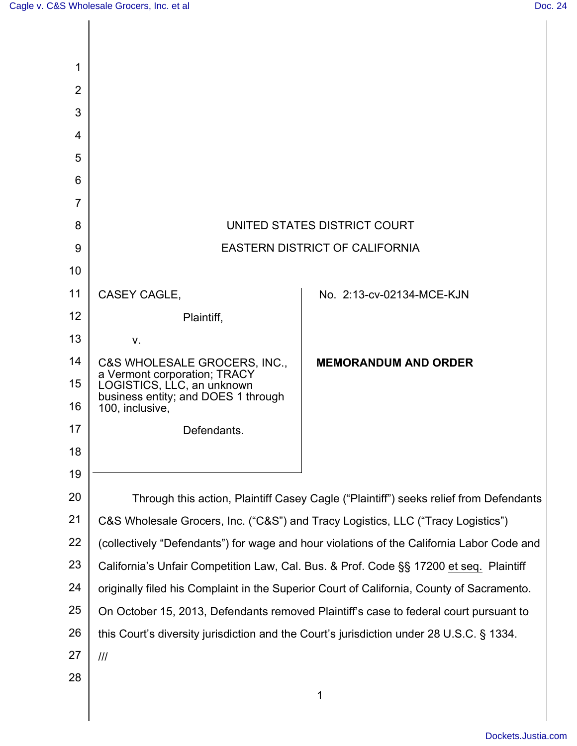| 1              |                                                                                      |                                                                                           |
|----------------|--------------------------------------------------------------------------------------|-------------------------------------------------------------------------------------------|
| $\overline{2}$ |                                                                                      |                                                                                           |
| 3              |                                                                                      |                                                                                           |
| 4              |                                                                                      |                                                                                           |
| 5              |                                                                                      |                                                                                           |
| 6              |                                                                                      |                                                                                           |
| 7              |                                                                                      |                                                                                           |
| 8              |                                                                                      | UNITED STATES DISTRICT COURT                                                              |
| 9              |                                                                                      | <b>EASTERN DISTRICT OF CALIFORNIA</b>                                                     |
| 10             |                                                                                      |                                                                                           |
| 11             | <b>CASEY CAGLE,</b>                                                                  | No. 2:13-cv-02134-MCE-KJN                                                                 |
| 12             | Plaintiff,                                                                           |                                                                                           |
| 13             | V.                                                                                   |                                                                                           |
| 14             | C&S WHOLESALE GROCERS, INC.,<br>a Vermont corporation; TRACY                         | <b>MEMORANDUM AND ORDER</b>                                                               |
| 15<br>16       | LOGISTICS, LLC, an unknown<br>business entity; and DOES 1 through<br>100, inclusive, |                                                                                           |
| 17             | Defendants.                                                                          |                                                                                           |
| 18             |                                                                                      |                                                                                           |
| 19             |                                                                                      |                                                                                           |
| 20             |                                                                                      | Through this action, Plaintiff Casey Cagle ("Plaintiff") seeks relief from Defendants     |
| 21             |                                                                                      | C&S Wholesale Grocers, Inc. ("C&S") and Tracy Logistics, LLC ("Tracy Logistics")          |
| 22             |                                                                                      | (collectively "Defendants") for wage and hour violations of the California Labor Code and |
| 23             |                                                                                      | California's Unfair Competition Law, Cal. Bus. & Prof. Code §§ 17200 et seq. Plaintiff    |
| 24             |                                                                                      | originally filed his Complaint in the Superior Court of California, County of Sacramento. |
| 25             |                                                                                      | On October 15, 2013, Defendants removed Plaintiff's case to federal court pursuant to     |
| 26             |                                                                                      | this Court's diversity jurisdiction and the Court's jurisdiction under 28 U.S.C. § 1334.  |
| 27             | III                                                                                  |                                                                                           |
| 28             |                                                                                      |                                                                                           |
|                |                                                                                      | 1                                                                                         |
|                |                                                                                      |                                                                                           |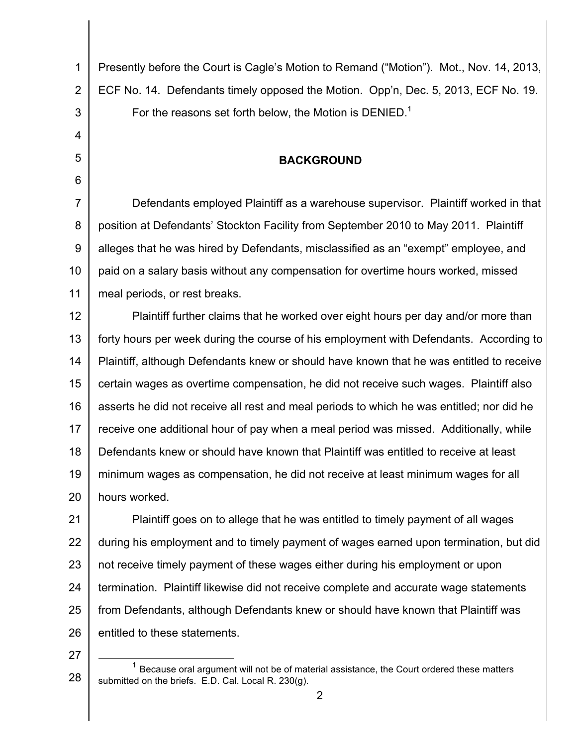| $\mathbf 1$    | Presently before the Court is Cagle's Motion to Remand ("Motion"). Mot., Nov. 14, 2013,   |
|----------------|-------------------------------------------------------------------------------------------|
| $\overline{2}$ | ECF No. 14. Defendants timely opposed the Motion. Opp'n, Dec. 5, 2013, ECF No. 19.        |
| 3              | For the reasons set forth below, the Motion is DENIED. <sup>1</sup>                       |
| 4              |                                                                                           |
| 5              | <b>BACKGROUND</b>                                                                         |
| 6              |                                                                                           |
| $\overline{7}$ | Defendants employed Plaintiff as a warehouse supervisor. Plaintiff worked in that         |
| 8              | position at Defendants' Stockton Facility from September 2010 to May 2011. Plaintiff      |
| 9              | alleges that he was hired by Defendants, misclassified as an "exempt" employee, and       |
| 10             | paid on a salary basis without any compensation for overtime hours worked, missed         |
| 11             | meal periods, or rest breaks.                                                             |
| 12             | Plaintiff further claims that he worked over eight hours per day and/or more than         |
| 13             | forty hours per week during the course of his employment with Defendants. According to    |
| 14             | Plaintiff, although Defendants knew or should have known that he was entitled to receive  |
| 15             | certain wages as overtime compensation, he did not receive such wages. Plaintiff also     |
| 16             | asserts he did not receive all rest and meal periods to which he was entitled; nor did he |
| 17             | receive one additional hour of pay when a meal period was missed. Additionally, while     |
| 18             | Defendants knew or should have known that Plaintiff was entitled to receive at least      |
| 19             | minimum wages as compensation, he did not receive at least minimum wages for all          |
| 20             | hours worked.                                                                             |
| 21             | Plaintiff goes on to allege that he was entitled to timely payment of all wages           |
| 22             | during his employment and to timely payment of wages earned upon termination, but did     |
| 23             | not receive timely payment of these wages either during his employment or upon            |
| 24             | termination. Plaintiff likewise did not receive complete and accurate wage statements     |

26

entitled to these statements.

27

25

from Defendants, although Defendants knew or should have known that Plaintiff was

<sup>28</sup>  $1$  Because oral argument will not be of material assistance, the Court ordered these matters submitted on the briefs. E.D. Cal. Local R. 230(g).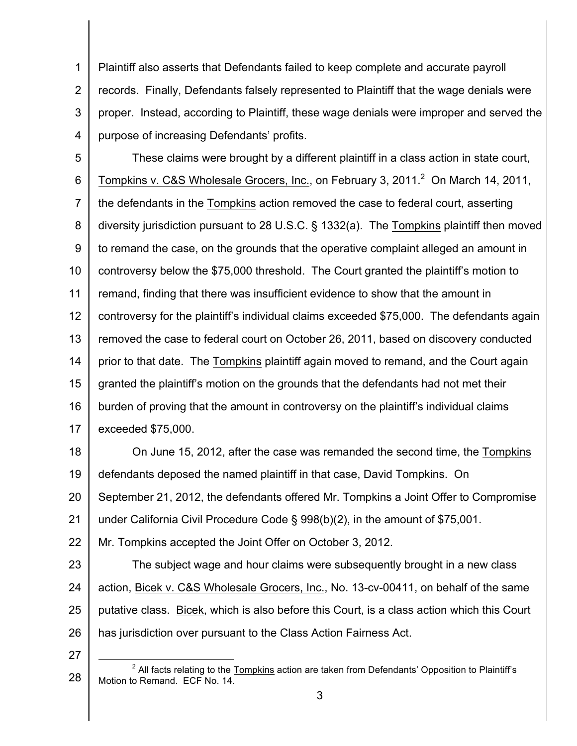1 2 3 4 Plaintiff also asserts that Defendants failed to keep complete and accurate payroll records. Finally, Defendants falsely represented to Plaintiff that the wage denials were proper. Instead, according to Plaintiff, these wage denials were improper and served the purpose of increasing Defendants' profits.

5 6 7 8 9 10 11 12 13 14 15 16 17 These claims were brought by a different plaintiff in a class action in state court, Tompkins v. C&S Wholesale Grocers, Inc., on February 3, 2011.<sup>2</sup> On March 14, 2011, the defendants in the Tompkins action removed the case to federal court, asserting diversity jurisdiction pursuant to 28 U.S.C. § 1332(a). The Tompkins plaintiff then moved to remand the case, on the grounds that the operative complaint alleged an amount in controversy below the \$75,000 threshold. The Court granted the plaintiff's motion to remand, finding that there was insufficient evidence to show that the amount in controversy for the plaintiff's individual claims exceeded \$75,000. The defendants again removed the case to federal court on October 26, 2011, based on discovery conducted prior to that date. The Tompkins plaintiff again moved to remand, and the Court again granted the plaintiff's motion on the grounds that the defendants had not met their burden of proving that the amount in controversy on the plaintiff's individual claims exceeded \$75,000.

18 19 20 21 On June 15, 2012, after the case was remanded the second time, the Tompkins defendants deposed the named plaintiff in that case, David Tompkins. On September 21, 2012, the defendants offered Mr. Tompkins a Joint Offer to Compromise under California Civil Procedure Code § 998(b)(2), in the amount of \$75,001.

22 Mr. Tompkins accepted the Joint Offer on October 3, 2012.

23 24 25 26 The subject wage and hour claims were subsequently brought in a new class action, Bicek v. C&S Wholesale Grocers, Inc., No. 13-cv-00411, on behalf of the same putative class. Bicek, which is also before this Court, is a class action which this Court has jurisdiction over pursuant to the Class Action Fairness Act.

<sup>28</sup>  $2$  All facts relating to the  $Tomphins$  action are taken from Defendants' Opposition to Plaintiff's</u> Motion to Remand. ECF No. 14.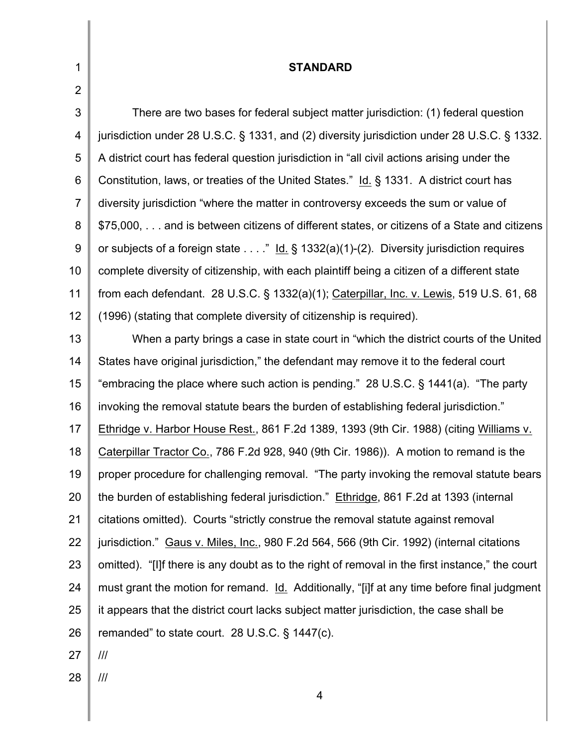| 1              | <b>STANDARD</b>                                                                                 |
|----------------|-------------------------------------------------------------------------------------------------|
| $\overline{2}$ |                                                                                                 |
| 3              | There are two bases for federal subject matter jurisdiction: (1) federal question               |
| $\overline{4}$ | jurisdiction under 28 U.S.C. § 1331, and (2) diversity jurisdiction under 28 U.S.C. § 1332.     |
| 5              | A district court has federal question jurisdiction in "all civil actions arising under the      |
| 6              | Constitution, laws, or treaties of the United States." Id. § 1331. A district court has         |
| $\overline{7}$ | diversity jurisdiction "where the matter in controversy exceeds the sum or value of             |
| 8              | \$75,000, and is between citizens of different states, or citizens of a State and citizens      |
| 9              | or subjects of a foreign state" Id. § 1332(a)(1)-(2). Diversity jurisdiction requires           |
| 10             | complete diversity of citizenship, with each plaintiff being a citizen of a different state     |
| 11             | from each defendant. 28 U.S.C. § 1332(a)(1); Caterpillar, Inc. v. Lewis, 519 U.S. 61, 68        |
| 12             | (1996) (stating that complete diversity of citizenship is required).                            |
| 13             | When a party brings a case in state court in "which the district courts of the United           |
| 14             | States have original jurisdiction," the defendant may remove it to the federal court            |
| 15             | "embracing the place where such action is pending." 28 U.S.C. § 1441(a). "The party             |
| 16             | invoking the removal statute bears the burden of establishing federal jurisdiction."            |
| 17             | Ethridge v. Harbor House Rest., 861 F.2d 1389, 1393 (9th Cir. 1988) (citing Williams v.         |
| 18             | Caterpillar Tractor Co., 786 F.2d 928, 940 (9th Cir. 1986)). A motion to remand is the          |
| 19             | proper procedure for challenging removal. "The party invoking the removal statute bears         |
| 20             | the burden of establishing federal jurisdiction." Ethridge, 861 F.2d at 1393 (internal          |
| 21             | citations omitted). Courts "strictly construe the removal statute against removal               |
| 22             | jurisdiction." Gaus v. Miles, Inc., 980 F.2d 564, 566 (9th Cir. 1992) (internal citations       |
| 23             | omitted). "[I]f there is any doubt as to the right of removal in the first instance," the court |
| 24             | must grant the motion for remand. Id. Additionally, "[i]f at any time before final judgment     |
| 25             | it appears that the district court lacks subject matter jurisdiction, the case shall be         |
| 26             | remanded" to state court. 28 U.S.C. $\S$ 1447(c).                                               |

- 27 ///
- 28 ///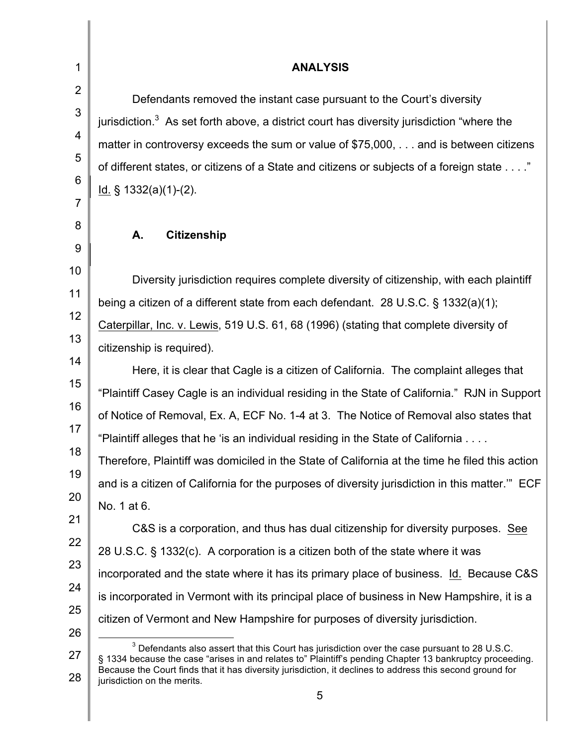2 3

4

5

6

7

8

9

10

11

12

13

1

# **ANALYSIS**

Defendants removed the instant case pursuant to the Court's diversity jurisdiction.<sup>3</sup> As set forth above, a district court has diversity jurisdiction "where the matter in controversy exceeds the sum or value of \$75,000, . . . and is between citizens of different states, or citizens of a State and citizens or subjects of a foreign state . . . ." Id. § 1332(a)(1)-(2).

# **A. Citizenship**

Diversity jurisdiction requires complete diversity of citizenship, with each plaintiff being a citizen of a different state from each defendant. 28 U.S.C. § 1332(a)(1); Caterpillar, Inc. v. Lewis, 519 U.S. 61, 68 (1996) (stating that complete diversity of citizenship is required).

14 15 16 17 Here, it is clear that Cagle is a citizen of California. The complaint alleges that "Plaintiff Casey Cagle is an individual residing in the State of California." RJN in Support of Notice of Removal, Ex. A, ECF No. 1-4 at 3. The Notice of Removal also states that "Plaintiff alleges that he 'is an individual residing in the State of California . . . .

18 19 20 Therefore, Plaintiff was domiciled in the State of California at the time he filed this action and is a citizen of California for the purposes of diversity jurisdiction in this matter.'" ECF No. 1 at 6.

21 22 23 24 25 C&S is a corporation, and thus has dual citizenship for diversity purposes. See 28 U.S.C. § 1332(c). A corporation is a citizen both of the state where it was incorporated and the state where it has its primary place of business. Id. Because C&S is incorporated in Vermont with its principal place of business in New Hampshire, it is a citizen of Vermont and New Hampshire for purposes of diversity jurisdiction.

26 27 28  $3$  Defendants also assert that this Court has jurisdiction over the case pursuant to 28 U.S.C. § 1334 because the case "arises in and relates to" Plaintiff's pending Chapter 13 bankruptcy proceeding. Because the Court finds that it has diversity jurisdiction, it declines to address this second ground for jurisdiction on the merits.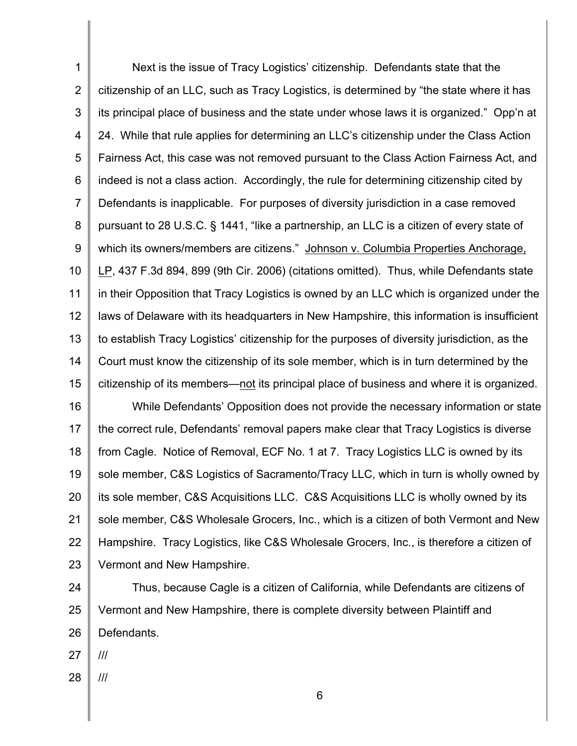1 2 3 4 5 6 7 8 9 10 11 12 13 14 15 16 17 18 19 20 21 22 Next is the issue of Tracy Logistics' citizenship. Defendants state that the citizenship of an LLC, such as Tracy Logistics, is determined by "the state where it has its principal place of business and the state under whose laws it is organized." Opp'n at 24. While that rule applies for determining an LLC's citizenship under the Class Action Fairness Act, this case was not removed pursuant to the Class Action Fairness Act, and indeed is not a class action. Accordingly, the rule for determining citizenship cited by Defendants is inapplicable. For purposes of diversity jurisdiction in a case removed pursuant to 28 U.S.C. § 1441, "like a partnership, an LLC is a citizen of every state of which its owners/members are citizens." Johnson v. Columbia Properties Anchorage, LP, 437 F.3d 894, 899 (9th Cir. 2006) (citations omitted). Thus, while Defendants state in their Opposition that Tracy Logistics is owned by an LLC which is organized under the laws of Delaware with its headquarters in New Hampshire, this information is insufficient to establish Tracy Logistics' citizenship for the purposes of diversity jurisdiction, as the Court must know the citizenship of its sole member, which is in turn determined by the citizenship of its members—not its principal place of business and where it is organized. While Defendants' Opposition does not provide the necessary information or state the correct rule, Defendants' removal papers make clear that Tracy Logistics is diverse from Cagle. Notice of Removal, ECF No. 1 at 7. Tracy Logistics LLC is owned by its sole member, C&S Logistics of Sacramento/Tracy LLC, which in turn is wholly owned by its sole member, C&S Acquisitions LLC. C&S Acquisitions LLC is wholly owned by its sole member, C&S Wholesale Grocers, Inc., which is a citizen of both Vermont and New Hampshire. Tracy Logistics, like C&S Wholesale Grocers, Inc., is therefore a citizen of

23 Vermont and New Hampshire.

24 25 26 Thus, because Cagle is a citizen of California, while Defendants are citizens of Vermont and New Hampshire, there is complete diversity between Plaintiff and Defendants.

27 ///

28 ///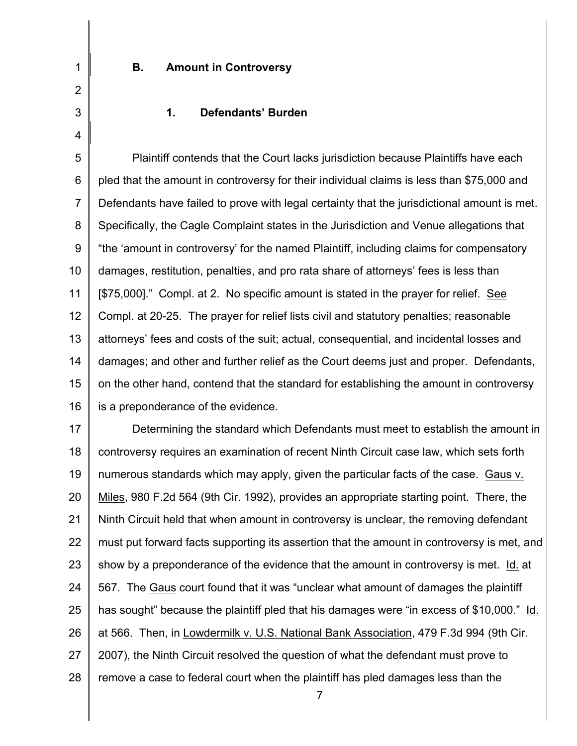2 3

4

1

# **B. Amount in Controversy**

### **1. Defendants' Burden**

5 6 7 8 9 10 11 12 13 14 15 16 Plaintiff contends that the Court lacks jurisdiction because Plaintiffs have each pled that the amount in controversy for their individual claims is less than \$75,000 and Defendants have failed to prove with legal certainty that the jurisdictional amount is met. Specifically, the Cagle Complaint states in the Jurisdiction and Venue allegations that "the 'amount in controversy' for the named Plaintiff, including claims for compensatory damages, restitution, penalties, and pro rata share of attorneys' fees is less than [\$75,000]." Compl. at 2. No specific amount is stated in the prayer for relief. See Compl. at 20-25. The prayer for relief lists civil and statutory penalties; reasonable attorneys' fees and costs of the suit; actual, consequential, and incidental losses and damages; and other and further relief as the Court deems just and proper. Defendants, on the other hand, contend that the standard for establishing the amount in controversy is a preponderance of the evidence.

17 18 19 20 21 22 23 24 25 26 27 28 Determining the standard which Defendants must meet to establish the amount in controversy requires an examination of recent Ninth Circuit case law, which sets forth numerous standards which may apply, given the particular facts of the case. Gaus v. Miles, 980 F.2d 564 (9th Cir. 1992), provides an appropriate starting point. There, the Ninth Circuit held that when amount in controversy is unclear, the removing defendant must put forward facts supporting its assertion that the amount in controversy is met, and show by a preponderance of the evidence that the amount in controversy is met. Id. at 567. The Gaus court found that it was "unclear what amount of damages the plaintiff has sought" because the plaintiff pled that his damages were "in excess of \$10,000." Id. at 566. Then, in Lowdermilk v. U.S. National Bank Association, 479 F.3d 994 (9th Cir. 2007), the Ninth Circuit resolved the question of what the defendant must prove to remove a case to federal court when the plaintiff has pled damages less than the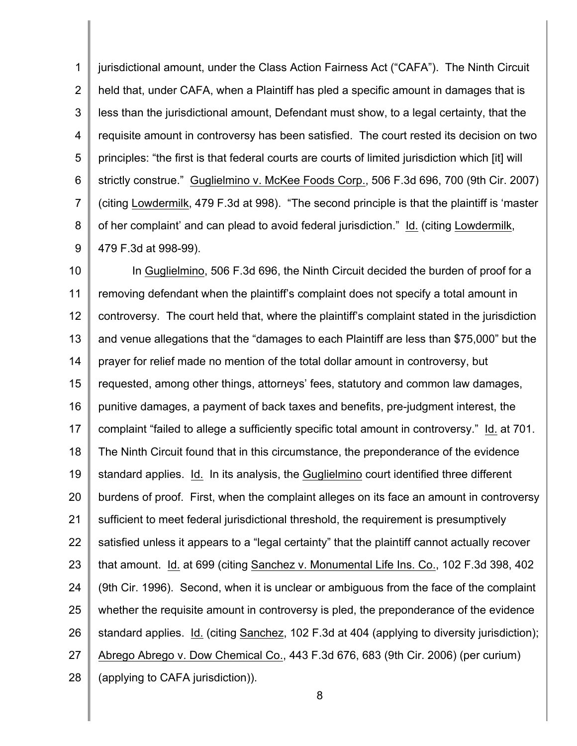1 2 3 4 5 6 7 8 9 jurisdictional amount, under the Class Action Fairness Act ("CAFA"). The Ninth Circuit held that, under CAFA, when a Plaintiff has pled a specific amount in damages that is less than the jurisdictional amount, Defendant must show, to a legal certainty, that the requisite amount in controversy has been satisfied. The court rested its decision on two principles: "the first is that federal courts are courts of limited jurisdiction which [it] will strictly construe." Guglielmino v. McKee Foods Corp., 506 F.3d 696, 700 (9th Cir. 2007) (citing Lowdermilk, 479 F.3d at 998). "The second principle is that the plaintiff is 'master of her complaint' and can plead to avoid federal jurisdiction." Id. (citing Lowdermilk, 479 F.3d at 998-99).

10 11 12 13 14 15 16 17 18 19 20 21 22 23 24 25 26 27 28 In Guglielmino, 506 F.3d 696, the Ninth Circuit decided the burden of proof for a removing defendant when the plaintiff's complaint does not specify a total amount in controversy. The court held that, where the plaintiff's complaint stated in the jurisdiction and venue allegations that the "damages to each Plaintiff are less than \$75,000" but the prayer for relief made no mention of the total dollar amount in controversy, but requested, among other things, attorneys' fees, statutory and common law damages, punitive damages, a payment of back taxes and benefits, pre-judgment interest, the complaint "failed to allege a sufficiently specific total amount in controversy." Id. at 701. The Ninth Circuit found that in this circumstance, the preponderance of the evidence standard applies. Id. In its analysis, the Guglielmino court identified three different burdens of proof. First, when the complaint alleges on its face an amount in controversy sufficient to meet federal jurisdictional threshold, the requirement is presumptively satisfied unless it appears to a "legal certainty" that the plaintiff cannot actually recover that amount. Id. at 699 (citing Sanchez v. Monumental Life Ins. Co., 102 F.3d 398, 402 (9th Cir. 1996). Second, when it is unclear or ambiguous from the face of the complaint whether the requisite amount in controversy is pled, the preponderance of the evidence standard applies. Id. (citing Sanchez, 102 F.3d at 404 (applying to diversity jurisdiction); Abrego Abrego v. Dow Chemical Co., 443 F.3d 676, 683 (9th Cir. 2006) (per curium) (applying to CAFA jurisdiction)).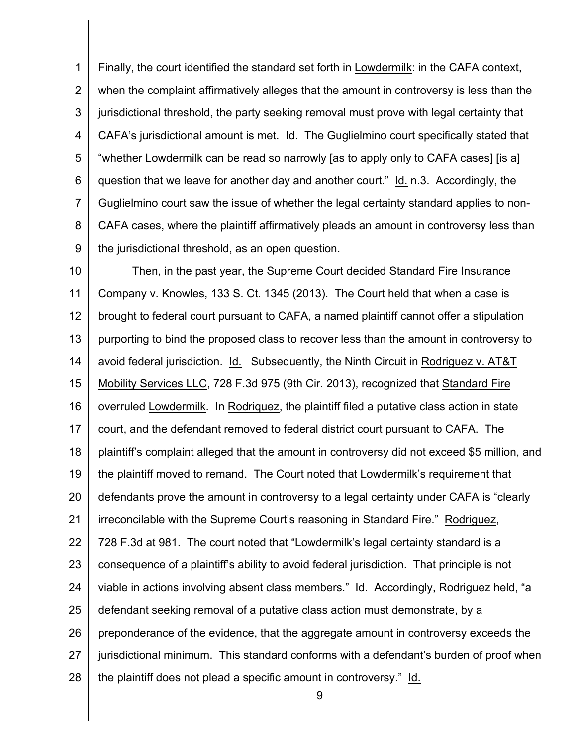1 2 3 4 5 6 7 8 9 Finally, the court identified the standard set forth in Lowdermilk: in the CAFA context, when the complaint affirmatively alleges that the amount in controversy is less than the jurisdictional threshold, the party seeking removal must prove with legal certainty that CAFA's jurisdictional amount is met. Id. The Guglielmino court specifically stated that "whether Lowdermilk can be read so narrowly [as to apply only to CAFA cases] [is a] question that we leave for another day and another court." Id. n.3. Accordingly, the Guglielmino court saw the issue of whether the legal certainty standard applies to non-CAFA cases, where the plaintiff affirmatively pleads an amount in controversy less than the jurisdictional threshold, as an open question.

10 11 12 13 14 15 16 17 18 19 20 21 22 23 24 25 26 27 28 Then, in the past year, the Supreme Court decided Standard Fire Insurance Company v. Knowles, 133 S. Ct. 1345 (2013). The Court held that when a case is brought to federal court pursuant to CAFA, a named plaintiff cannot offer a stipulation purporting to bind the proposed class to recover less than the amount in controversy to avoid federal jurisdiction. Id. Subsequently, the Ninth Circuit in Rodriguez v. AT&T Mobility Services LLC, 728 F.3d 975 (9th Cir. 2013), recognized that Standard Fire overruled Lowdermilk. In Rodriquez, the plaintiff filed a putative class action in state court, and the defendant removed to federal district court pursuant to CAFA. The plaintiff's complaint alleged that the amount in controversy did not exceed \$5 million, and the plaintiff moved to remand. The Court noted that Lowdermilk's requirement that defendants prove the amount in controversy to a legal certainty under CAFA is "clearly irreconcilable with the Supreme Court's reasoning in Standard Fire." Rodriguez, 728 F.3d at 981. The court noted that "Lowdermilk's legal certainty standard is a consequence of a plaintiff's ability to avoid federal jurisdiction. That principle is not viable in actions involving absent class members." Id. Accordingly, Rodriguez held, "a defendant seeking removal of a putative class action must demonstrate, by a preponderance of the evidence, that the aggregate amount in controversy exceeds the jurisdictional minimum. This standard conforms with a defendant's burden of proof when the plaintiff does not plead a specific amount in controversy." Id.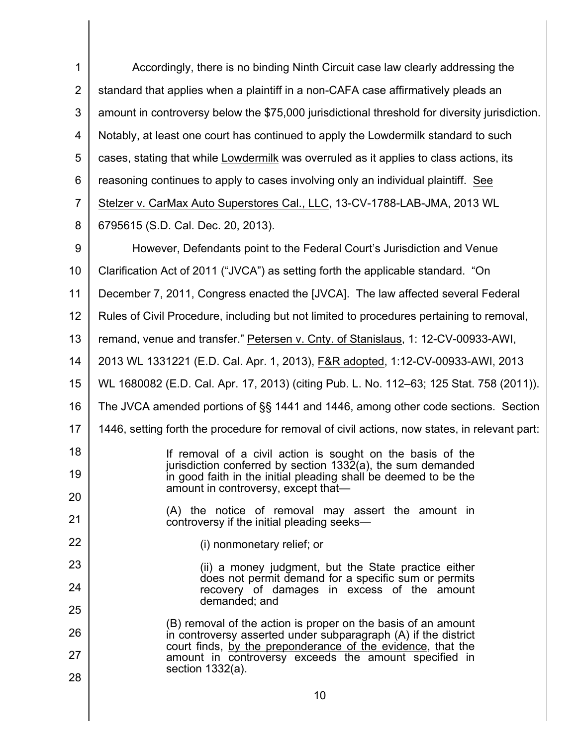| 1              | Accordingly, there is no binding Ninth Circuit case law clearly addressing the                                                  |
|----------------|---------------------------------------------------------------------------------------------------------------------------------|
| $\overline{2}$ | standard that applies when a plaintiff in a non-CAFA case affirmatively pleads an                                               |
| 3              | amount in controversy below the \$75,000 jurisdictional threshold for diversity jurisdiction.                                   |
| 4              | Notably, at least one court has continued to apply the Lowdermilk standard to such                                              |
| 5              | cases, stating that while Lowdermilk was overruled as it applies to class actions, its                                          |
| 6              | reasoning continues to apply to cases involving only an individual plaintiff. See                                               |
| $\overline{7}$ | Stelzer v. CarMax Auto Superstores Cal., LLC, 13-CV-1788-LAB-JMA, 2013 WL                                                       |
| 8              | 6795615 (S.D. Cal. Dec. 20, 2013).                                                                                              |
| 9              | However, Defendants point to the Federal Court's Jurisdiction and Venue                                                         |
| 10             | Clarification Act of 2011 ("JVCA") as setting forth the applicable standard. "On                                                |
| 11             | December 7, 2011, Congress enacted the [JVCA]. The law affected several Federal                                                 |
| 12             | Rules of Civil Procedure, including but not limited to procedures pertaining to removal,                                        |
| 13             | remand, venue and transfer." Petersen v. Cnty. of Stanislaus, 1: 12-CV-00933-AWI,                                               |
| 14             | 2013 WL 1331221 (E.D. Cal. Apr. 1, 2013), F&R adopted, 1:12-CV-00933-AWI, 2013                                                  |
| 15             | WL 1680082 (E.D. Cal. Apr. 17, 2013) (citing Pub. L. No. 112–63; 125 Stat. 758 (2011)).                                         |
| 16             | The JVCA amended portions of §§ 1441 and 1446, among other code sections. Section                                               |
| 17             | 1446, setting forth the procedure for removal of civil actions, now states, in relevant part:                                   |
| 18             | If removal of a civil action is sought on the basis of the                                                                      |
| 19             | jurisdiction conferred by section 1332(a), the sum demanded<br>in good faith in the initial pleading shall be deemed to be the  |
| 20             | amount in controversy, except that—                                                                                             |
| 21             | (A) the notice of removal may assert the amount in<br>controversy if the initial pleading seeks—                                |
| 22             | (i) nonmonetary relief; or                                                                                                      |
| 23             | (ii) a money judgment, but the State practice either                                                                            |
| 24             | does not permit demand for a specific sum or permits<br>recovery of damages in excess of the amount                             |
| 25             | demanded; and                                                                                                                   |
| 26             | (B) removal of the action is proper on the basis of an amount<br>in controversy asserted under subparagraph (A) if the district |
| 27             | court finds, by the preponderance of the evidence, that the<br>amount in controversy exceeds the amount specified in            |
| 28             | section $1332(a)$ .                                                                                                             |
|                | 10                                                                                                                              |

 $\begin{array}{c} \hline \end{array}$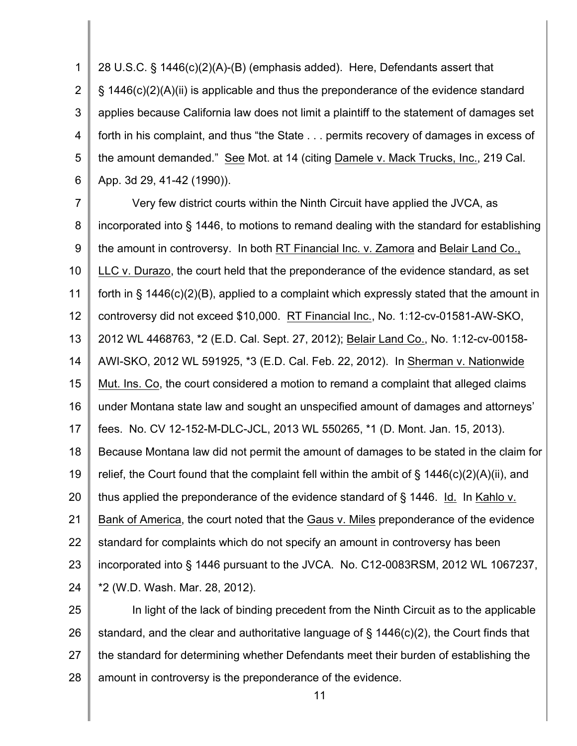1 2 3 4 5 6 28 U.S.C. § 1446(c)(2)(A)-(B) (emphasis added). Here, Defendants assert that § 1446(c)(2)(A)(ii) is applicable and thus the preponderance of the evidence standard applies because California law does not limit a plaintiff to the statement of damages set forth in his complaint, and thus "the State . . . permits recovery of damages in excess of the amount demanded." See Mot. at 14 (citing Damele v. Mack Trucks, Inc., 219 Cal. App. 3d 29, 41-42 (1990)).

7 8 9 10 11 12 13 14 15 16 17 18 19 20 21 22 23 24 Very few district courts within the Ninth Circuit have applied the JVCA, as incorporated into § 1446, to motions to remand dealing with the standard for establishing the amount in controversy. In both RT Financial Inc. v. Zamora and Belair Land Co., LLC v. Durazo, the court held that the preponderance of the evidence standard, as set forth in § 1446(c)(2)(B), applied to a complaint which expressly stated that the amount in controversy did not exceed \$10,000. RT Financial Inc., No. 1:12-cv-01581-AW-SKO, 2012 WL 4468763, \*2 (E.D. Cal. Sept. 27, 2012); Belair Land Co., No. 1:12-cv-00158- AWI-SKO, 2012 WL 591925, \*3 (E.D. Cal. Feb. 22, 2012). In Sherman v. Nationwide Mut. Ins. Co, the court considered a motion to remand a complaint that alleged claims under Montana state law and sought an unspecified amount of damages and attorneys' fees. No. CV 12-152-M-DLC-JCL, 2013 WL 550265, \*1 (D. Mont. Jan. 15, 2013). Because Montana law did not permit the amount of damages to be stated in the claim for relief, the Court found that the complaint fell within the ambit of § 1446(c)(2)(A)(ii), and thus applied the preponderance of the evidence standard of § 1446. Id. In Kahlo v. Bank of America, the court noted that the Gaus v. Miles preponderance of the evidence standard for complaints which do not specify an amount in controversy has been incorporated into § 1446 pursuant to the JVCA. No. C12-0083RSM, 2012 WL 1067237, \*2 (W.D. Wash. Mar. 28, 2012).

25 26 27 28 In light of the lack of binding precedent from the Ninth Circuit as to the applicable standard, and the clear and authoritative language of § 1446(c)(2), the Court finds that the standard for determining whether Defendants meet their burden of establishing the amount in controversy is the preponderance of the evidence.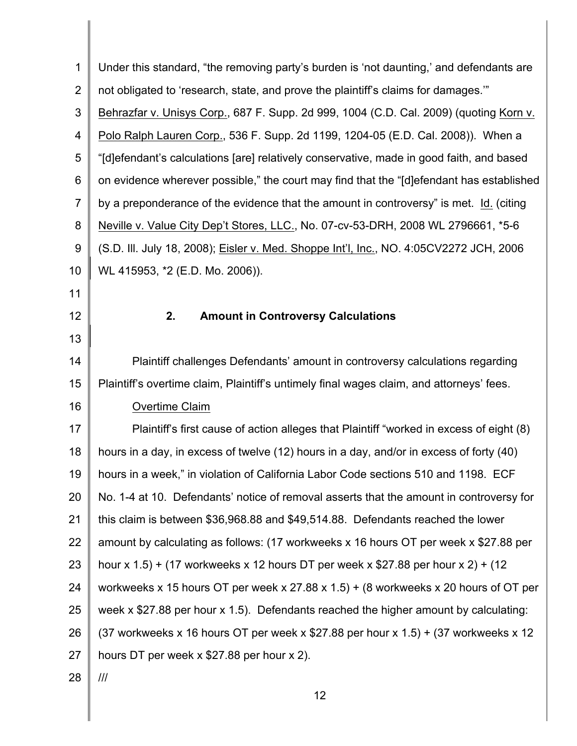| $\mathbf 1$    | Under this standard, "the removing party's burden is 'not daunting,' and defendants are   |
|----------------|-------------------------------------------------------------------------------------------|
| $\overline{2}$ | not obligated to 'research, state, and prove the plaintiff's claims for damages."         |
| 3              | Behrazfar v. Unisys Corp., 687 F. Supp. 2d 999, 1004 (C.D. Cal. 2009) (quoting Korn v.    |
| 4              | Polo Ralph Lauren Corp., 536 F. Supp. 2d 1199, 1204-05 (E.D. Cal. 2008)). When a          |
| 5              | "[d]efendant's calculations [are] relatively conservative, made in good faith, and based  |
| 6              | on evidence wherever possible," the court may find that the "[d] efendant has established |
| $\overline{7}$ | by a preponderance of the evidence that the amount in controversy" is met. Id. (citing    |
| 8              | Neville v. Value City Dep't Stores, LLC., No. 07-cv-53-DRH, 2008 WL 2796661, *5-6         |
| 9              | (S.D. III. July 18, 2008); Eisler v. Med. Shoppe Int'l, Inc., NO. 4:05CV2272 JCH, 2006    |
| 10             | WL 415953, *2 (E.D. Mo. 2006)).                                                           |
| 11             |                                                                                           |
| 12             | 2.<br><b>Amount in Controversy Calculations</b>                                           |
| 13             |                                                                                           |
| 14             | Plaintiff challenges Defendants' amount in controversy calculations regarding             |
| 15             | Plaintiff's overtime claim, Plaintiff's untimely final wages claim, and attorneys' fees.  |
| 16             | Overtime Claim                                                                            |
| 17             | Plaintiff's first cause of action alleges that Plaintiff "worked in excess of eight (8)   |
| 18             | hours in a day, in excess of twelve (12) hours in a day, and/or in excess of forty (40)   |
| 19             | hours in a week," in violation of California Labor Code sections 510 and 1198. ECF        |
| 20             | No. 1-4 at 10. Defendants' notice of removal asserts that the amount in controversy for   |
| 21             | this claim is between \$36,968.88 and \$49,514.88. Defendants reached the lower           |
| 22             | amount by calculating as follows: (17 workweeks x 16 hours OT per week x \$27.88 per      |
| 23             | hour x $1.5$ ) + (17 workweeks x 12 hours DT per week x \$27.88 per hour x 2) + (12       |
| 24             | workweeks x 15 hours OT per week x 27.88 x 1.5) + (8 workweeks x 20 hours of OT per       |
| 25             | week x \$27.88 per hour x 1.5). Defendants reached the higher amount by calculating:      |
| 26             | (37 workweeks x 16 hours OT per week x \$27.88 per hour x $1.5$ ) + (37 workweeks x 12    |
| 27             | hours DT per week x \$27.88 per hour x 2).                                                |
| 28             | III                                                                                       |
|                | 12                                                                                        |
|                |                                                                                           |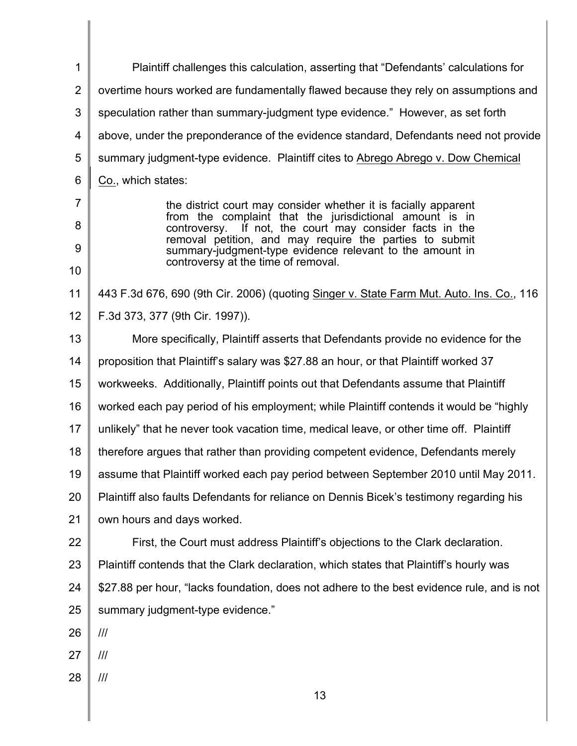| 1               | Plaintiff challenges this calculation, asserting that "Defendants' calculations for                                    |
|-----------------|------------------------------------------------------------------------------------------------------------------------|
| $\overline{2}$  | overtime hours worked are fundamentally flawed because they rely on assumptions and                                    |
| 3               | speculation rather than summary-judgment type evidence." However, as set forth                                         |
| 4               | above, under the preponderance of the evidence standard, Defendants need not provide                                   |
| 5               | summary judgment-type evidence. Plaintiff cites to Abrego Abrego v. Dow Chemical                                       |
| $6\phantom{1}6$ | Co., which states:                                                                                                     |
| 7               | the district court may consider whether it is facially apparent                                                        |
| 8               | from the complaint that the jurisdictional amount is in<br>If not, the court may consider facts in the<br>controversy. |
| 9               | removal petition, and may require the parties to submit<br>summary-judgment-type evidence relevant to the amount in    |
| 10              | controversy at the time of removal.                                                                                    |
| 11              | 443 F.3d 676, 690 (9th Cir. 2006) (quoting Singer v. State Farm Mut. Auto. Ins. Co., 116                               |
| 12              | F.3d 373, 377 (9th Cir. 1997)).                                                                                        |
| 13              | More specifically, Plaintiff asserts that Defendants provide no evidence for the                                       |
| 14              | proposition that Plaintiff's salary was \$27.88 an hour, or that Plaintiff worked 37                                   |
| 15              | workweeks. Additionally, Plaintiff points out that Defendants assume that Plaintiff                                    |
| 16              | worked each pay period of his employment; while Plaintiff contends it would be "highly"                                |
| 17              | unlikely" that he never took vacation time, medical leave, or other time off. Plaintiff                                |
| 18              | therefore argues that rather than providing competent evidence, Defendants merely                                      |
| 19              | assume that Plaintiff worked each pay period between September 2010 until May 2011.                                    |
| 20              | Plaintiff also faults Defendants for reliance on Dennis Bicek's testimony regarding his                                |
| 21              | own hours and days worked.                                                                                             |
| 22              | First, the Court must address Plaintiff's objections to the Clark declaration.                                         |
| 23              | Plaintiff contends that the Clark declaration, which states that Plaintiff's hourly was                                |
| 24              | \$27.88 per hour, "lacks foundation, does not adhere to the best evidence rule, and is not                             |
| 25              | summary judgment-type evidence."                                                                                       |
| 26              | ///                                                                                                                    |
| 27              | ///                                                                                                                    |
| 28              | ///                                                                                                                    |
|                 | 13                                                                                                                     |
|                 |                                                                                                                        |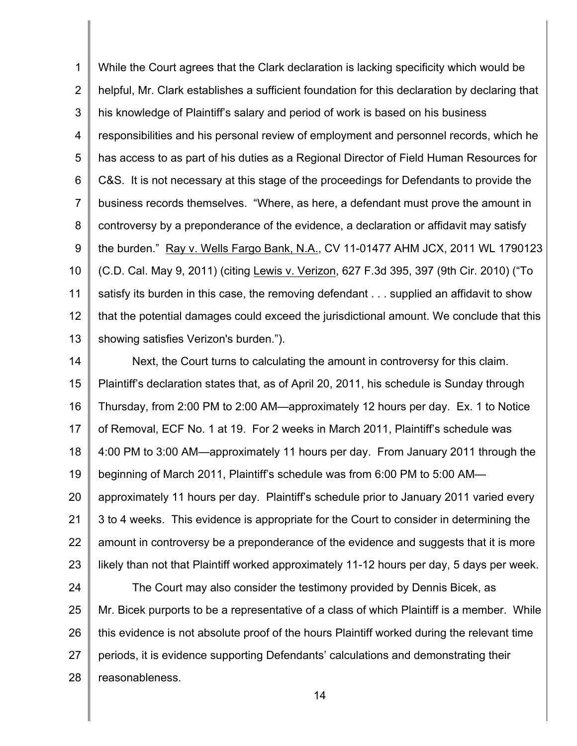1 2 3 4 5 6 7 8 9 10 11 12 13 While the Court agrees that the Clark declaration is lacking specificity which would be helpful, Mr. Clark establishes a sufficient foundation for this declaration by declaring that his knowledge of Plaintiff's salary and period of work is based on his business responsibilities and his personal review of employment and personnel records, which he has access to as part of his duties as a Regional Director of Field Human Resources for C&S. It is not necessary at this stage of the proceedings for Defendants to provide the business records themselves. "Where, as here, a defendant must prove the amount in controversy by a preponderance of the evidence, a declaration or affidavit may satisfy the burden." Ray v. Wells Fargo Bank, N.A., CV 11-01477 AHM JCX, 2011 WL 1790123 (C.D. Cal. May 9, 2011) (citing Lewis v. Verizon, 627 F.3d 395, 397 (9th Cir. 2010) ("To satisfy its burden in this case, the removing defendant . . . supplied an affidavit to show that the potential damages could exceed the jurisdictional amount. We conclude that this showing satisfies Verizon's burden.").

14 15 16 17 18 19 20 21 22 23 Next, the Court turns to calculating the amount in controversy for this claim. Plaintiff's declaration states that, as of April 20, 2011, his schedule is Sunday through Thursday, from 2:00 PM to 2:00 AM—approximately 12 hours per day. Ex. 1 to Notice of Removal, ECF No. 1 at 19. For 2 weeks in March 2011, Plaintiff's schedule was 4:00 PM to 3:00 AM—approximately 11 hours per day. From January 2011 through the beginning of March 2011, Plaintiff's schedule was from 6:00 PM to 5:00 AM approximately 11 hours per day. Plaintiff's schedule prior to January 2011 varied every 3 to 4 weeks. This evidence is appropriate for the Court to consider in determining the amount in controversy be a preponderance of the evidence and suggests that it is more likely than not that Plaintiff worked approximately 11-12 hours per day, 5 days per week.

24 25 26 27 28 The Court may also consider the testimony provided by Dennis Bicek, as Mr. Bicek purports to be a representative of a class of which Plaintiff is a member. While this evidence is not absolute proof of the hours Plaintiff worked during the relevant time periods, it is evidence supporting Defendants' calculations and demonstrating their reasonableness.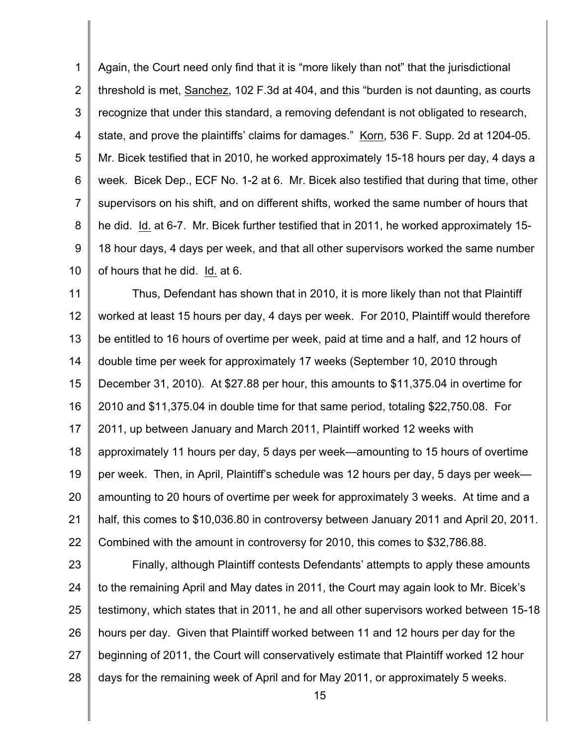1 2 3 4 5 6 7 8 9 10 Again, the Court need only find that it is "more likely than not" that the jurisdictional threshold is met, Sanchez, 102 F.3d at 404, and this "burden is not daunting, as courts recognize that under this standard, a removing defendant is not obligated to research, state, and prove the plaintiffs' claims for damages." Korn, 536 F. Supp. 2d at 1204-05. Mr. Bicek testified that in 2010, he worked approximately 15-18 hours per day, 4 days a week. Bicek Dep., ECF No. 1-2 at 6. Mr. Bicek also testified that during that time, other supervisors on his shift, and on different shifts, worked the same number of hours that he did. Id. at 6-7. Mr. Bicek further testified that in 2011, he worked approximately 15- 18 hour days, 4 days per week, and that all other supervisors worked the same number of hours that he did. Id. at 6.

11 12 13 14 15 16 17 18 19 20 21 22 Thus, Defendant has shown that in 2010, it is more likely than not that Plaintiff worked at least 15 hours per day, 4 days per week. For 2010, Plaintiff would therefore be entitled to 16 hours of overtime per week, paid at time and a half, and 12 hours of double time per week for approximately 17 weeks (September 10, 2010 through December 31, 2010). At \$27.88 per hour, this amounts to \$11,375.04 in overtime for 2010 and \$11,375.04 in double time for that same period, totaling \$22,750.08. For 2011, up between January and March 2011, Plaintiff worked 12 weeks with approximately 11 hours per day, 5 days per week—amounting to 15 hours of overtime per week. Then, in April, Plaintiff's schedule was 12 hours per day, 5 days per week amounting to 20 hours of overtime per week for approximately 3 weeks. At time and a half, this comes to \$10,036.80 in controversy between January 2011 and April 20, 2011. Combined with the amount in controversy for 2010, this comes to \$32,786.88.

23 24 25 26 27 28 Finally, although Plaintiff contests Defendants' attempts to apply these amounts to the remaining April and May dates in 2011, the Court may again look to Mr. Bicek's testimony, which states that in 2011, he and all other supervisors worked between 15-18 hours per day. Given that Plaintiff worked between 11 and 12 hours per day for the beginning of 2011, the Court will conservatively estimate that Plaintiff worked 12 hour days for the remaining week of April and for May 2011, or approximately 5 weeks.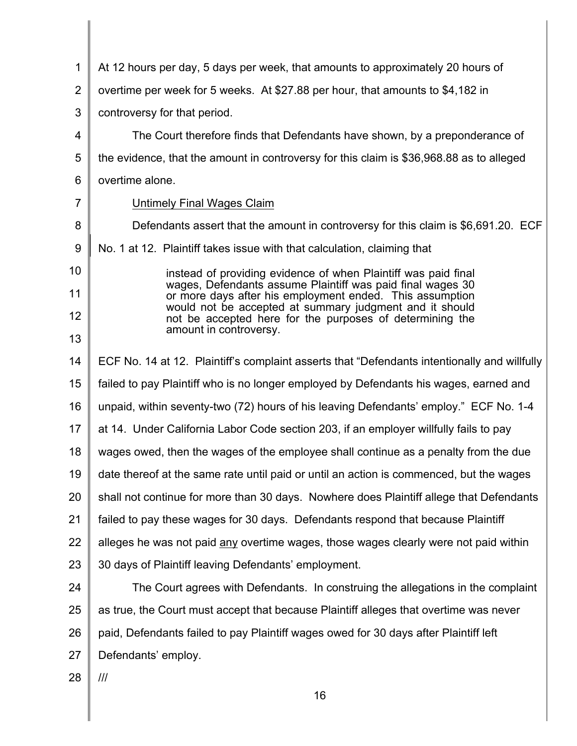| $\mathbf{1}$   | At 12 hours per day, 5 days per week, that amounts to approximately 20 hours of                                                               |
|----------------|-----------------------------------------------------------------------------------------------------------------------------------------------|
| $\overline{2}$ | overtime per week for 5 weeks. At \$27.88 per hour, that amounts to \$4,182 in                                                                |
| 3              | controversy for that period.                                                                                                                  |
| 4              | The Court therefore finds that Defendants have shown, by a preponderance of                                                                   |
| 5              | the evidence, that the amount in controversy for this claim is \$36,968.88 as to alleged                                                      |
| 6              | overtime alone.                                                                                                                               |
| $\overline{7}$ | Untimely Final Wages Claim                                                                                                                    |
| 8              | Defendants assert that the amount in controversy for this claim is \$6,691.20. ECF                                                            |
| 9              | No. 1 at 12. Plaintiff takes issue with that calculation, claiming that                                                                       |
| 10             | instead of providing evidence of when Plaintiff was paid final                                                                                |
| 11             | wages, Defendants assume Plaintiff was paid final wages 30<br>or more days after his employment ended. This assumption                        |
| 12             | would not be accepted at summary judgment and it should<br>not be accepted here for the purposes of determining the<br>amount in controversy. |
| 13             |                                                                                                                                               |
| 14             | ECF No. 14 at 12. Plaintiff's complaint asserts that "Defendants intentionally and willfully                                                  |
| 15             | failed to pay Plaintiff who is no longer employed by Defendants his wages, earned and                                                         |
| 16             | unpaid, within seventy-two (72) hours of his leaving Defendants' employ." ECF No. 1-4                                                         |
| 17             | at 14. Under California Labor Code section 203, if an employer willfully fails to pay                                                         |
| 18             | wages owed, then the wages of the employee shall continue as a penalty from the due                                                           |
| 19             | date thereof at the same rate until paid or until an action is commenced, but the wages                                                       |
| 20             | shall not continue for more than 30 days. Nowhere does Plaintiff allege that Defendants                                                       |
| 21             | failed to pay these wages for 30 days. Defendants respond that because Plaintiff                                                              |
| 22             | alleges he was not paid any overtime wages, those wages clearly were not paid within                                                          |
| 23             | 30 days of Plaintiff leaving Defendants' employment.                                                                                          |
| 24             | The Court agrees with Defendants. In construing the allegations in the complaint                                                              |
| 25             | as true, the Court must accept that because Plaintiff alleges that overtime was never                                                         |
| 26             | paid, Defendants failed to pay Plaintiff wages owed for 30 days after Plaintiff left                                                          |
| 27             | Defendants' employ.                                                                                                                           |
| 28             |                                                                                                                                               |
|                | 16                                                                                                                                            |
|                |                                                                                                                                               |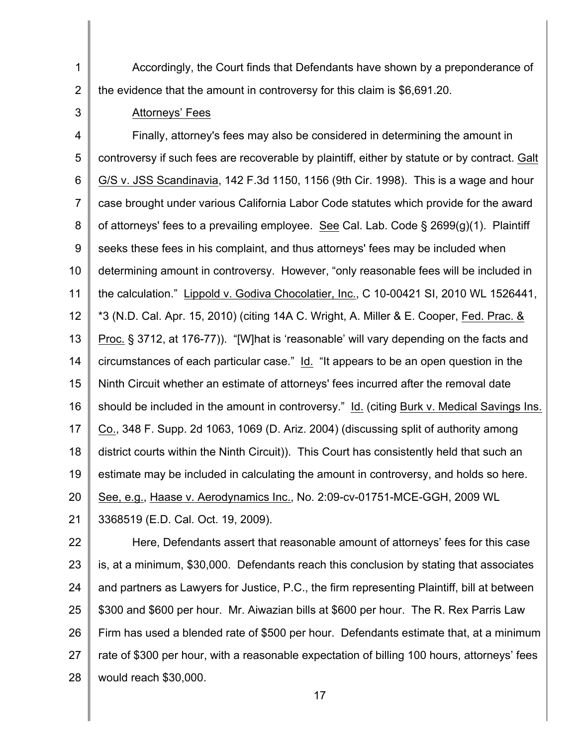1 2 Accordingly, the Court finds that Defendants have shown by a preponderance of the evidence that the amount in controversy for this claim is \$6,691.20.

3

#### Attorneys' Fees

4 5 6 7 8 9 10 11 12 13 14 15 16 17 18 19 20 21 Finally, attorney's fees may also be considered in determining the amount in controversy if such fees are recoverable by plaintiff, either by statute or by contract. Galt G/S v. JSS Scandinavia, 142 F.3d 1150, 1156 (9th Cir. 1998). This is a wage and hour case brought under various California Labor Code statutes which provide for the award of attorneys' fees to a prevailing employee. See Cal. Lab. Code § 2699(g)(1). Plaintiff seeks these fees in his complaint, and thus attorneys' fees may be included when determining amount in controversy. However, "only reasonable fees will be included in the calculation." Lippold v. Godiva Chocolatier, Inc., C 10-00421 SI, 2010 WL 1526441, \*3 (N.D. Cal. Apr. 15, 2010) (citing 14A C. Wright, A. Miller & E. Cooper, Fed. Prac. & Proc. § 3712, at 176-77)). "[W]hat is 'reasonable' will vary depending on the facts and circumstances of each particular case." Id. "It appears to be an open question in the Ninth Circuit whether an estimate of attorneys' fees incurred after the removal date should be included in the amount in controversy." Id. (citing Burk v. Medical Savings Ins. Co., 348 F. Supp. 2d 1063, 1069 (D. Ariz. 2004) (discussing split of authority among district courts within the Ninth Circuit)). This Court has consistently held that such an estimate may be included in calculating the amount in controversy, and holds so here. See, e.g., Haase v. Aerodynamics Inc., No. 2:09-cv-01751-MCE-GGH, 2009 WL 3368519 (E.D. Cal. Oct. 19, 2009).

22 23 24 25 26 27 28 Here, Defendants assert that reasonable amount of attorneys' fees for this case is, at a minimum, \$30,000. Defendants reach this conclusion by stating that associates and partners as Lawyers for Justice, P.C., the firm representing Plaintiff, bill at between \$300 and \$600 per hour. Mr. Aiwazian bills at \$600 per hour. The R. Rex Parris Law Firm has used a blended rate of \$500 per hour. Defendants estimate that, at a minimum rate of \$300 per hour, with a reasonable expectation of billing 100 hours, attorneys' fees would reach \$30,000.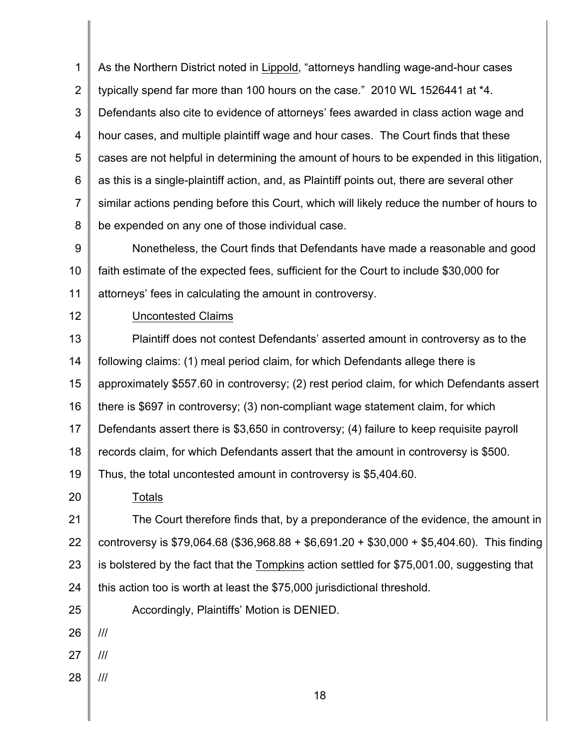1 2 3 4 5 6 7 8 As the Northern District noted in Lippold, "attorneys handling wage-and-hour cases typically spend far more than 100 hours on the case." 2010 WL 1526441 at \*4. Defendants also cite to evidence of attorneys' fees awarded in class action wage and hour cases, and multiple plaintiff wage and hour cases. The Court finds that these cases are not helpful in determining the amount of hours to be expended in this litigation, as this is a single-plaintiff action, and, as Plaintiff points out, there are several other similar actions pending before this Court, which will likely reduce the number of hours to be expended on any one of those individual case.

9 10 11 Nonetheless, the Court finds that Defendants have made a reasonable and good faith estimate of the expected fees, sufficient for the Court to include \$30,000 for attorneys' fees in calculating the amount in controversy.

12

### Uncontested Claims

13 14 15 16 17 18 19 20 21 22 23 24 Plaintiff does not contest Defendants' asserted amount in controversy as to the following claims: (1) meal period claim, for which Defendants allege there is approximately \$557.60 in controversy; (2) rest period claim, for which Defendants assert there is \$697 in controversy; (3) non-compliant wage statement claim, for which Defendants assert there is \$3,650 in controversy; (4) failure to keep requisite payroll records claim, for which Defendants assert that the amount in controversy is \$500. Thus, the total uncontested amount in controversy is \$5,404.60. Totals The Court therefore finds that, by a preponderance of the evidence, the amount in controversy is \$79,064.68 (\$36,968.88 + \$6,691.20 + \$30,000 + \$5,404.60). This finding is bolstered by the fact that the Tompkins action settled for \$75,001.00, suggesting that this action too is worth at least the \$75,000 jurisdictional threshold.

25 Accordingly, Plaintiffs' Motion is DENIED.

26 ///

- 27 ///
- 28 ///